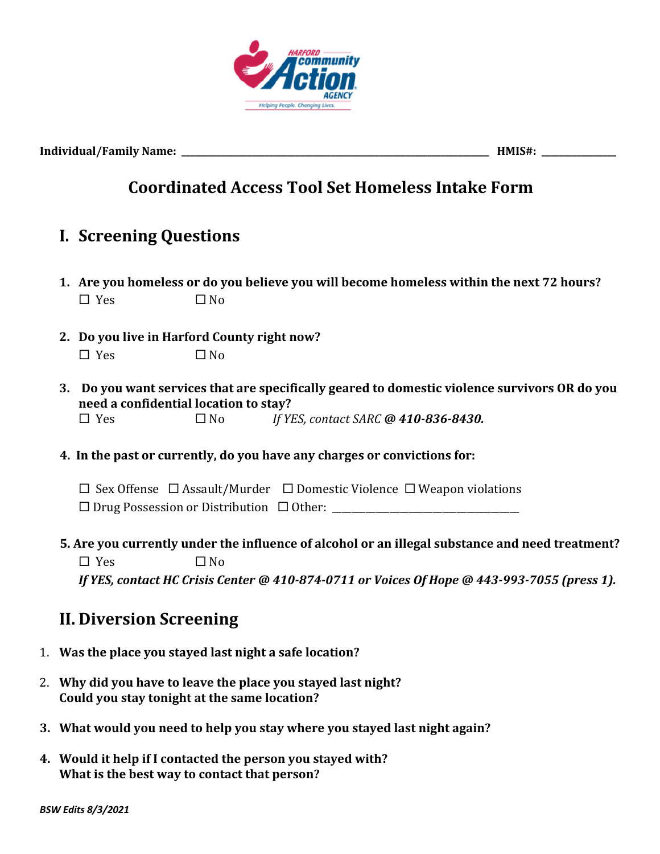

**Individual/Family Name: \_\_\_\_\_\_\_\_\_\_\_\_\_\_\_\_\_\_\_\_\_\_\_\_\_\_\_\_\_\_\_\_\_\_\_\_\_\_\_\_\_\_\_\_\_\_\_\_\_\_\_\_\_\_\_\_\_\_\_\_\_\_\_\_\_\_\_\_\_\_ HMIS#: \_\_\_\_\_\_\_\_\_\_\_\_\_\_\_\_\_**

## **Coordinated Access Tool Set Homeless Intake Form**

## **I. Screening Questions**

- **1.** Are you homeless or do you believe you will become homeless within the next 72 hours?  $\square$  Yes  $\square$  No
- **2. Do you live in Harford County right now?**  $\Box$  Yes  $\Box$  No
- **3.** Do you want services that are specifically geared to domestic violence survivors OR do you **need** a confidential location to stay?  $\Box$  Yes  $\Box$  No *If YES, contact SARC* @ 410-836-8430.
- **4.** In the past or currently, do you have any charges or convictions for:
	- $\square$  Sex Offense  $\square$  Assault/Murder  $\square$  Domestic Violence  $\square$  Weapon violations
	- ¨ Drug Possession or Distribution ¨ Other: \_\_\_\_\_\_\_\_\_\_\_\_\_\_\_\_\_\_\_\_\_\_\_\_\_\_\_\_\_\_\_\_\_\_\_\_\_\_\_
- **5.** Are you currently under the influence of alcohol or an illegal substance and need treatment?
	- $\square$  Yes  $\square$  No *If* YES, contact HC Crisis Center @ 410-874-0711 or Voices Of Hope @ 443-993-7055 (press 1).

## **II. Diversion Screening**

- 1. Was the place you stayed last night a safe location?
- 2. Why did you have to leave the place you stayed last night? Could you stay tonight at the same location?
- **3.** What would you need to help you stay where you stayed last night again?
- 4. Would it help if I contacted the person you stayed with? **What is the best way to contact that person?**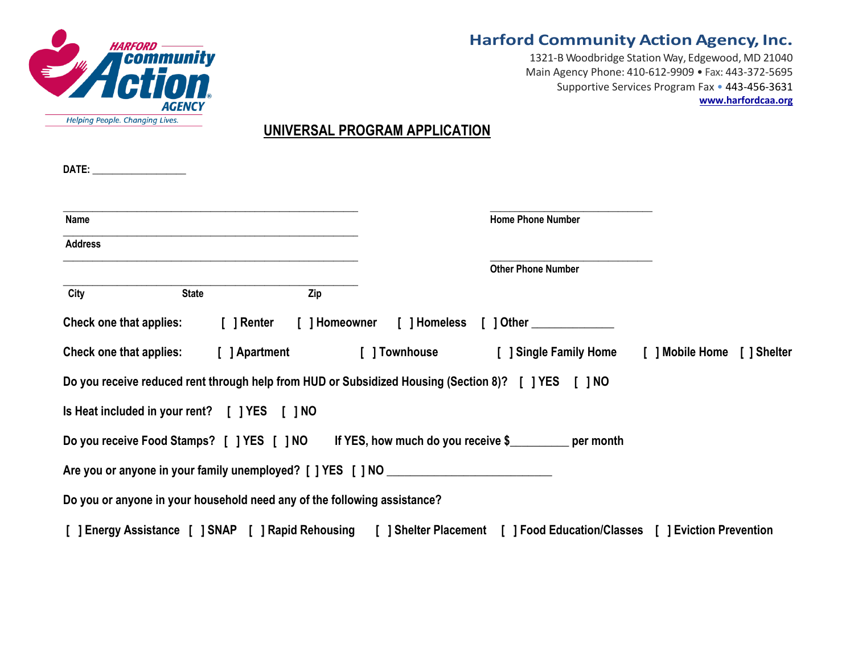

### **Harford Community Action Agency, Inc.**

1321-B Woodbridge Station Way, Edgewood, MD 21040 Main Agency Phone: 410-612-9909 • Fax: 443-372-5695 Supportive Services Program Fax • 443-456-3631 **www.harfordcaa.org**

### **UNIVERSAL PROGRAM APPLICATION**

| Name                           |                                                                          |               |                                                                                   | <b>Home Phone Number</b>                                                                                                    |                                                                  |
|--------------------------------|--------------------------------------------------------------------------|---------------|-----------------------------------------------------------------------------------|-----------------------------------------------------------------------------------------------------------------------------|------------------------------------------------------------------|
| <b>Address</b>                 |                                                                          |               |                                                                                   |                                                                                                                             |                                                                  |
|                                |                                                                          |               |                                                                                   | <b>Other Phone Number</b>                                                                                                   |                                                                  |
| City                           | <b>State</b>                                                             | Zip           |                                                                                   |                                                                                                                             |                                                                  |
| <b>Check one that applies:</b> | [ ] Renter                                                               |               |                                                                                   | [] Homeowner [] Homeless [] Other                                                                                           |                                                                  |
| <b>Check one that applies:</b> |                                                                          | [ ] Apartment |                                                                                   |                                                                                                                             | [ ] Townhouse [ ] Single Family Home [ ] Mobile Home [ ] Shelter |
|                                |                                                                          |               |                                                                                   | Do you receive reduced rent through help from HUD or Subsidized Housing (Section 8)? [ ] YES [ ] NO                         |                                                                  |
|                                | Is Heat included in your rent? [ ] YES [ ] NO                            |               |                                                                                   |                                                                                                                             |                                                                  |
|                                |                                                                          |               |                                                                                   | Do you receive Food Stamps? [ ] YES [ ] NO If YES, how much do you receive \$                                               |                                                                  |
|                                |                                                                          |               | Are you or anyone in your family unemployed? [ ] YES [ ] NO _____________________ |                                                                                                                             |                                                                  |
|                                | Do you or anyone in your household need any of the following assistance? |               |                                                                                   |                                                                                                                             |                                                                  |
|                                |                                                                          |               |                                                                                   | [ ] Energy Assistance [ ] SNAP [ ] Rapid Rehousing [ ] Shelter Placement [ ] Food Education/Classes [ ] Eviction Prevention |                                                                  |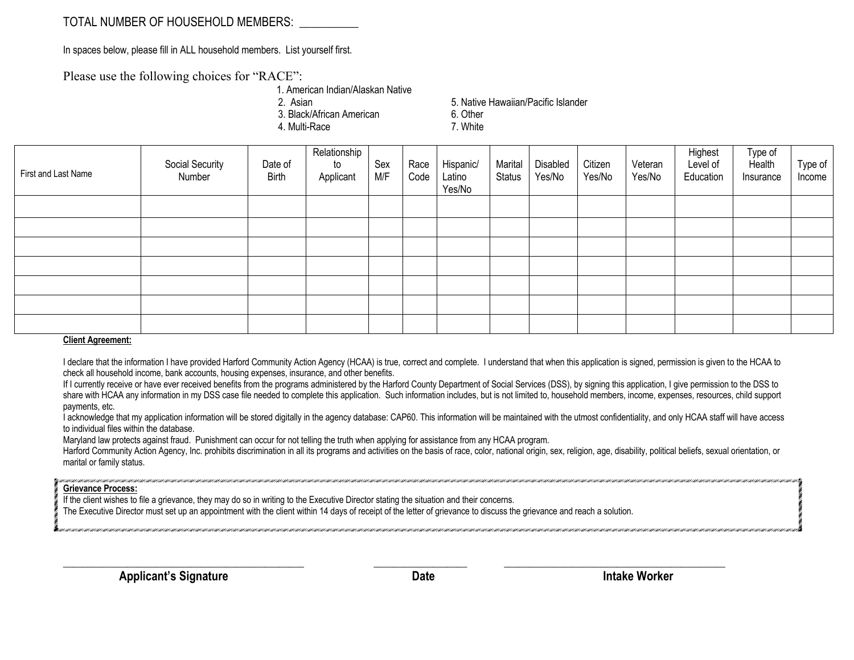### TOTAL NUMBER OF HOUSEHOLD MEMBERS:

In spaces below, please fill in ALL household members. List yourself first.

Please use the following choices for "RACE":

1. American Indian/Alaskan Native

3. Black/African American 6. Other

4. Multi-Race 7. White

2. Asian 6. Native Hawaiian/Pacific Islander

| First and Last Name | Social Security<br>Number | Date of<br><b>Birth</b> | Relationship<br>to<br>Applicant | Sex<br>M/F | Race<br>Code | Hispanic/<br>Latino<br>Yes/No | Marital<br>Status | Disabled<br>Yes/No | Citizen<br>Yes/No | Veteran<br>Yes/No | Highest<br>Level of<br>Education | Type of<br>Health<br>Insurance | Type of<br>Income |
|---------------------|---------------------------|-------------------------|---------------------------------|------------|--------------|-------------------------------|-------------------|--------------------|-------------------|-------------------|----------------------------------|--------------------------------|-------------------|
|                     |                           |                         |                                 |            |              |                               |                   |                    |                   |                   |                                  |                                |                   |
|                     |                           |                         |                                 |            |              |                               |                   |                    |                   |                   |                                  |                                |                   |
|                     |                           |                         |                                 |            |              |                               |                   |                    |                   |                   |                                  |                                |                   |
|                     |                           |                         |                                 |            |              |                               |                   |                    |                   |                   |                                  |                                |                   |
|                     |                           |                         |                                 |            |              |                               |                   |                    |                   |                   |                                  |                                |                   |
|                     |                           |                         |                                 |            |              |                               |                   |                    |                   |                   |                                  |                                |                   |
| Client Agrooment    |                           |                         |                                 |            |              |                               |                   |                    |                   |                   |                                  |                                |                   |

#### **Client Agreement:**

I declare that the information I have provided Harford Community Action Agency (HCAA) is true, correct and complete. I understand that when this application is signed, permission is given to the HCAA to check all household income, bank accounts, housing expenses, insurance, and other benefits.

If I currently receive or have ever received benefits from the programs administered by the Harford County Department of Social Services (DSS), by signing this application, I give permission to the DSS to share with HCAA any information in my DSS case file needed to complete this application. Such information includes, but is not limited to, household members, income, expenses, resources, child support payments, etc.

I acknowledge that my application information will be stored digitally in the agency database: CAP60. This information will be maintained with the utmost confidentiality, and only HCAA staff will have access to individual files within the database.

Maryland law protects against fraud. Punishment can occur for not telling the truth when applying for assistance from any HCAA program.

Harford Community Action Agency, Inc. prohibits discrimination in all its programs and activities on the basis of race, color, national origin, sex, religion, age, disability, political beliefs, sexual orientation, or marital or family status.

#### **Grievance Process:**

If the client wishes to file a grievance, they may do so in writing to the Executive Director stating the situation and their concerns.

The Executive Director must set up an appointment with the client within 14 days of receipt of the letter of grievance to discuss the grievance and reach a solution.

\_\_\_\_\_\_\_\_\_\_\_\_\_\_\_\_\_\_\_\_\_\_\_\_\_\_\_\_\_\_\_\_\_\_\_\_\_\_\_\_\_\_\_\_\_\_\_\_\_ \_\_\_\_\_\_\_\_\_\_\_\_\_\_\_\_\_\_\_ \_\_\_\_\_\_\_\_\_\_\_\_\_\_\_\_\_\_\_\_\_\_\_\_\_\_\_\_\_\_\_\_\_\_\_\_\_\_\_\_\_\_\_\_\_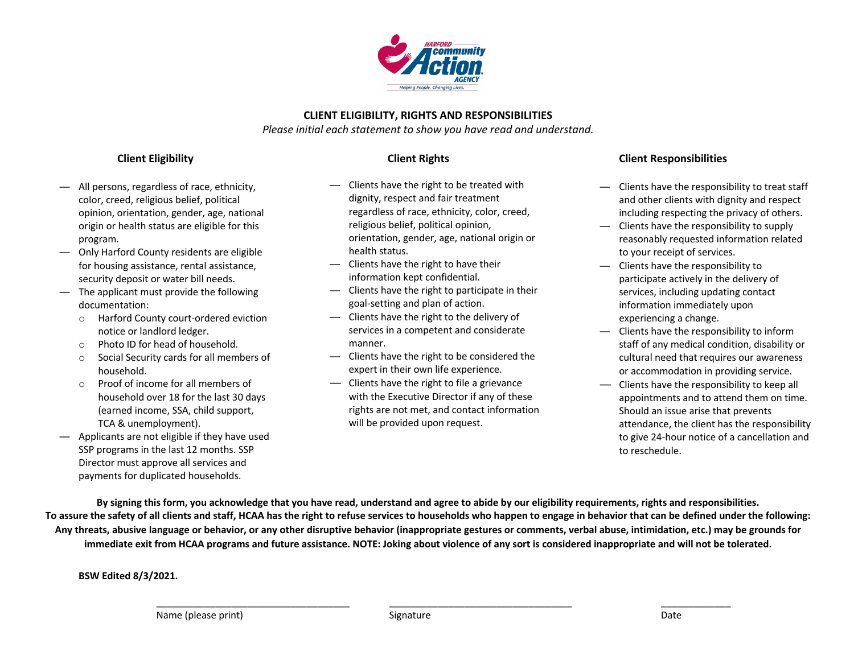

#### **CLIENT ELIGIBILITY, RIGHTS AND RESPONSIBILITIES**

*Please initial each statement to show you have read and understand.*

#### **Client Eligibility**

- ― All persons, regardless of race, ethnicity, color, creed, religious belief, political opinion, orientation, gender, age, national origin or health status are eligible for this program.
- ― Only Harford County residents are eligible for housing assistance, rental assistance, security deposit or water bill needs.
- ― The applicant must provide the following documentation:
	- o Harford County court-ordered eviction notice or landlord ledger.
	- o Photo ID for head of household.
	- o Social Security cards for all members of household.
	- o Proof of income for all members of household over 18 for the last 30 days (earned income, SSA, child support, TCA & unemployment).
- ― Applicants are not eligible if they have used SSP programs in the last 12 months. SSP Director must approve all services and payments for duplicated households.

#### **Client Rights**

- ― Clients have the right to be treated with dignity, respect and fair treatment regardless of race, ethnicity, color, creed, religious belief, political opinion, orientation, gender, age, national origin or health status.
- ― Clients have the right to have their information kept confidential.
- ― Clients have the right to participate in their goal-setting and plan of action.
- ― Clients have the right to the delivery of services in a competent and considerate manner.
- ― Clients have the right to be considered the expert in their own life experience.
- ― Clients have the right to file a grievance with the Executive Director if any of these rights are not met, and contact information will be provided upon request.

#### **Client Responsibilities**

- ― Clients have the responsibility to treat staff and other clients with dignity and respect including respecting the privacy of others.
- ― Clients have the responsibility to supply reasonably requested information related to your receipt of services.
- ― Clients have the responsibility to participate actively in the delivery of services, including updating contact information immediately upon experiencing a change.
- ― Clients have the responsibility to inform staff of any medical condition, disability or cultural need that requires our awareness or accommodation in providing service.
- ― Clients have the responsibility to keep all appointments and to attend them on time. Should an issue arise that prevents attendance, the client has the responsibility to give 24-hour notice of a cancellation and to reschedule.

**By signing this form, you acknowledge that you have read, understand and agree to abide by our eligibility requirements, rights and responsibilities. To assure the safety of all clients and staff, HCAA has the right to refuse services to households who happen to engage in behavior that can be defined under the following: Any threats, abusive language or behavior, or any other disruptive behavior (inappropriate gestures or comments, verbal abuse, intimidation, etc.) may be grounds for immediate exit from HCAA programs and future assistance. NOTE: Joking about violence of any sort is considered inappropriate and will not be tolerated.**

\_\_\_\_\_\_\_\_\_\_\_\_\_\_\_\_\_\_\_\_\_\_\_\_\_\_\_\_\_\_\_\_\_\_\_\_ \_\_\_\_\_\_\_\_\_\_\_\_\_\_\_\_\_\_\_\_\_\_\_\_\_\_\_\_\_\_\_\_\_\_ \_\_\_\_\_\_\_\_\_\_\_\_\_

**BSW Edited 8/3/2021.**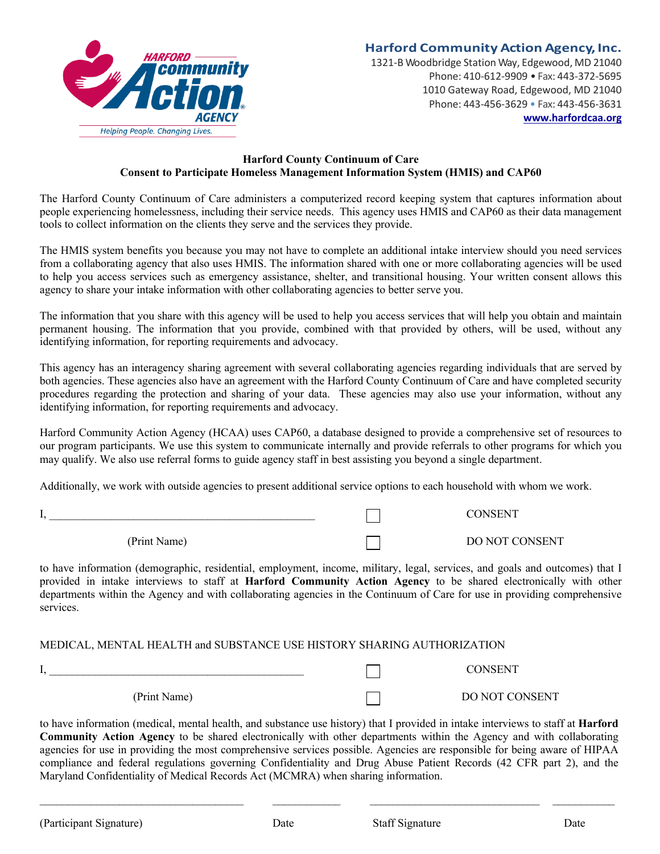

# **Harford Community Action Agency, Inc.**

1321-B Woodbridge Station Way, Edgewood, MD 21040 Phone: 410-612-9909 • Fax: 443-372-5695 1010 Gateway Road, Edgewood, MD 21040 Phone: 443-456-3629 • Fax: 443-456-3631 **www.harfordcaa.org**

#### **Harford County Continuum of Care Consent to Participate Homeless Management Information System (HMIS) and CAP60**

The Harford County Continuum of Care administers a computerized record keeping system that captures information about people experiencing homelessness, including their service needs. This agency uses HMIS and CAP60 as their data management tools to collect information on the clients they serve and the services they provide.

The HMIS system benefits you because you may not have to complete an additional intake interview should you need services from a collaborating agency that also uses HMIS. The information shared with one or more collaborating agencies will be used to help you access services such as emergency assistance, shelter, and transitional housing. Your written consent allows this agency to share your intake information with other collaborating agencies to better serve you.

The information that you share with this agency will be used to help you access services that will help you obtain and maintain permanent housing. The information that you provide, combined with that provided by others, will be used, without any identifying information, for reporting requirements and advocacy.

This agency has an interagency sharing agreement with several collaborating agencies regarding individuals that are served by both agencies. These agencies also have an agreement with the Harford County Continuum of Care and have completed security procedures regarding the protection and sharing of your data. These agencies may also use your information, without any identifying information, for reporting requirements and advocacy.

Harford Community Action Agency (HCAA) uses CAP60, a database designed to provide a comprehensive set of resources to our program participants. We use this system to communicate internally and provide referrals to other programs for which you may qualify. We also use referral forms to guide agency staff in best assisting you beyond a single department.

Additionally, we work with outside agencies to present additional service options to each household with whom we work.

| . .          | <b>CONSENT</b> |
|--------------|----------------|
| (Print Name) | DO NOT CONSENT |

to have information (demographic, residential, employment, income, military, legal, services, and goals and outcomes) that I provided in intake interviews to staff at **Harford Community Action Agency** to be shared electronically with other departments within the Agency and with collaborating agencies in the Continuum of Care for use in providing comprehensive services.

#### MEDICAL, MENTAL HEALTH and SUBSTANCE USE HISTORY SHARING AUTHORIZATION

|              | <b>CONSENT</b> |
|--------------|----------------|
| (Print Name) | DO NOT CONSENT |

to have information (medical, mental health, and substance use history) that I provided in intake interviews to staff at **Harford Community Action Agency** to be shared electronically with other departments within the Agency and with collaborating agencies for use in providing the most comprehensive services possible. Agencies are responsible for being aware of HIPAA compliance and federal regulations governing Confidentiality and Drug Abuse Patient Records (42 CFR part 2), and the Maryland Confidentiality of Medical Records Act (MCMRA) when sharing information.

 $\mathcal{L}_\mathcal{L} = \mathcal{L}_\mathcal{L} = \mathcal{L}_\mathcal{L} = \mathcal{L}_\mathcal{L} = \mathcal{L}_\mathcal{L} = \mathcal{L}_\mathcal{L} = \mathcal{L}_\mathcal{L} = \mathcal{L}_\mathcal{L} = \mathcal{L}_\mathcal{L} = \mathcal{L}_\mathcal{L} = \mathcal{L}_\mathcal{L} = \mathcal{L}_\mathcal{L} = \mathcal{L}_\mathcal{L} = \mathcal{L}_\mathcal{L} = \mathcal{L}_\mathcal{L} = \mathcal{L}_\mathcal{L} = \mathcal{L}_\mathcal{L}$ 

(Participant Signature) Date Staff Signature Date Date